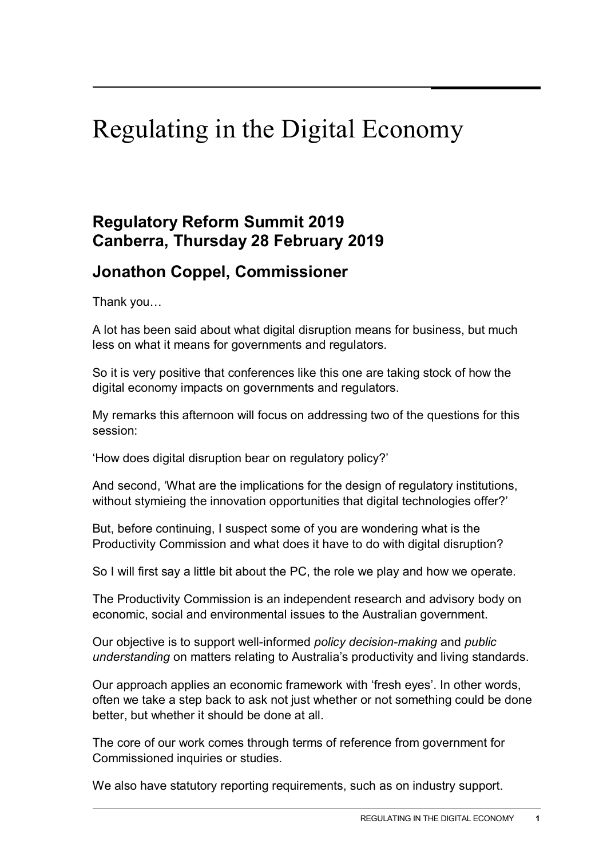## Regulating in the Digital Economy

## **Regulatory Reform Summit 2019 Canberra, Thursday 28 February 2019**

## **Jonathon Coppel, Commissioner**

Thank you…

A lot has been said about what digital disruption means for business, but much less on what it means for governments and regulators.

So it is very positive that conferences like this one are taking stock of how the digital economy impacts on governments and regulators.

My remarks this afternoon will focus on addressing two of the questions for this session:

'How does digital disruption bear on regulatory policy?'

And second, 'What are the implications for the design of regulatory institutions, without stymieing the innovation opportunities that digital technologies offer?'

But, before continuing, I suspect some of you are wondering what is the Productivity Commission and what does it have to do with digital disruption?

So I will first say a little bit about the PC, the role we play and how we operate.

The Productivity Commission is an independent research and advisory body on economic, social and environmental issues to the Australian government.

Our objective is to support well-informed *policy decision-making* and *public understanding* on matters relating to Australia's productivity and living standards.

Our approach applies an economic framework with 'fresh eyes'. In other words, often we take a step back to ask not just whether or not something could be done better, but whether it should be done at all.

The core of our work comes through terms of reference from government for Commissioned inquiries or studies.

We also have statutory reporting requirements, such as on industry support.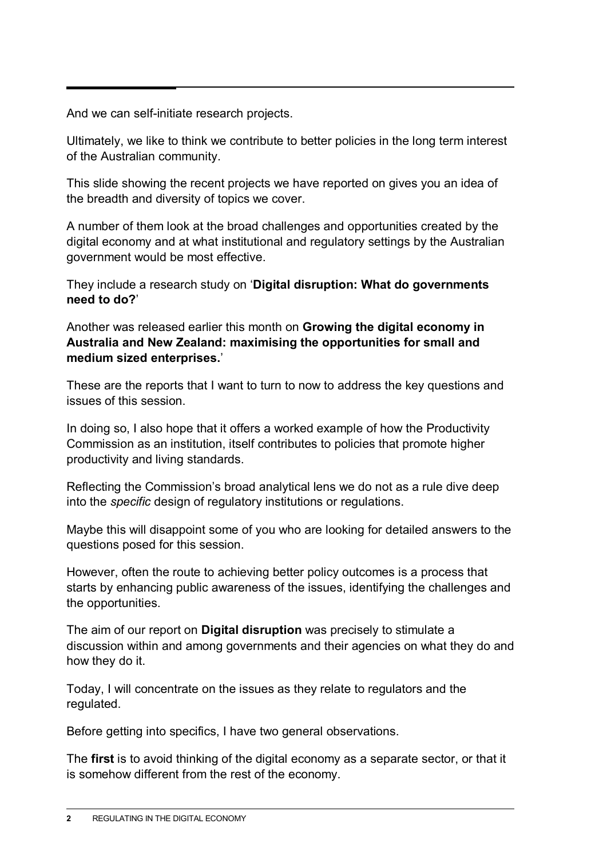And we can self-initiate research projects.

Ultimately, we like to think we contribute to better policies in the long term interest of the Australian community.

This slide showing the recent projects we have reported on gives you an idea of the breadth and diversity of topics we cover.

A number of them look at the broad challenges and opportunities created by the digital economy and at what institutional and regulatory settings by the Australian government would be most effective.

They include a research study on '**Digital disruption: What do governments need to do?**'

Another was released earlier this month on **Growing the digital economy in Australia and New Zealand: maximising the opportunities for small and medium sized enterprises.**'

These are the reports that I want to turn to now to address the key questions and issues of this session.

In doing so, I also hope that it offers a worked example of how the Productivity Commission as an institution, itself contributes to policies that promote higher productivity and living standards.

Reflecting the Commission's broad analytical lens we do not as a rule dive deep into the *specific* design of regulatory institutions or regulations.

Maybe this will disappoint some of you who are looking for detailed answers to the questions posed for this session.

However, often the route to achieving better policy outcomes is a process that starts by enhancing public awareness of the issues, identifying the challenges and the opportunities.

The aim of our report on **Digital disruption** was precisely to stimulate a discussion within and among governments and their agencies on what they do and how they do it.

Today, I will concentrate on the issues as they relate to regulators and the regulated.

Before getting into specifics, I have two general observations.

The **first** is to avoid thinking of the digital economy as a separate sector, or that it is somehow different from the rest of the economy.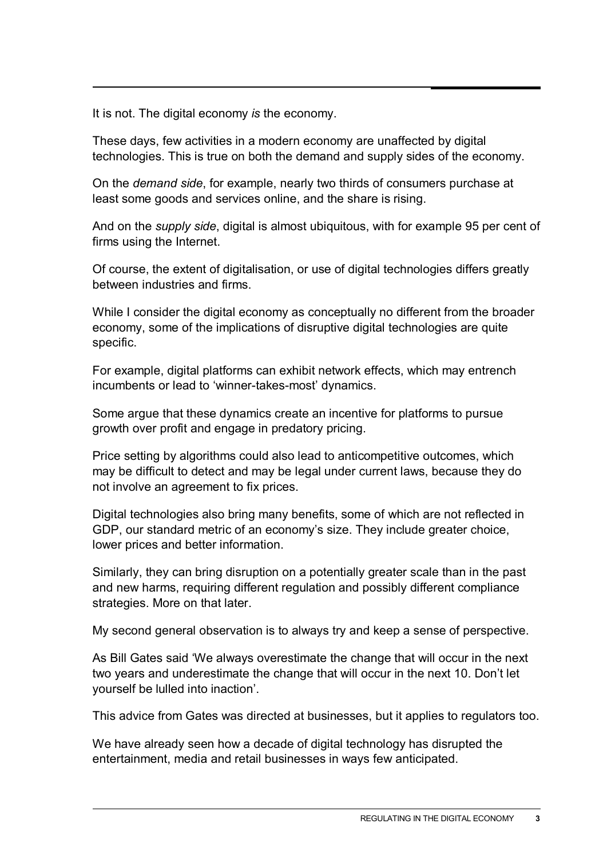It is not. The digital economy *is* the economy.

These days, few activities in a modern economy are unaffected by digital technologies. This is true on both the demand and supply sides of the economy.

On the *demand side*, for example, nearly two thirds of consumers purchase at least some goods and services online, and the share is rising.

And on the *supply side*, digital is almost ubiquitous, with for example 95 per cent of firms using the Internet.

Of course, the extent of digitalisation, or use of digital technologies differs greatly between industries and firms.

While I consider the digital economy as conceptually no different from the broader economy, some of the implications of disruptive digital technologies are quite specific.

For example, digital platforms can exhibit network effects, which may entrench incumbents or lead to 'winner-takes-most' dynamics.

Some argue that these dynamics create an incentive for platforms to pursue growth over profit and engage in predatory pricing.

Price setting by algorithms could also lead to anticompetitive outcomes, which may be difficult to detect and may be legal under current laws, because they do not involve an agreement to fix prices.

Digital technologies also bring many benefits, some of which are not reflected in GDP, our standard metric of an economy's size. They include greater choice, lower prices and better information.

Similarly, they can bring disruption on a potentially greater scale than in the past and new harms, requiring different regulation and possibly different compliance strategies. More on that later.

My second general observation is to always try and keep a sense of perspective.

As Bill Gates said 'We always overestimate the change that will occur in the next two years and underestimate the change that will occur in the next 10. Don't let yourself be lulled into inaction'.

This advice from Gates was directed at businesses, but it applies to regulators too.

We have already seen how a decade of digital technology has disrupted the entertainment, media and retail businesses in ways few anticipated.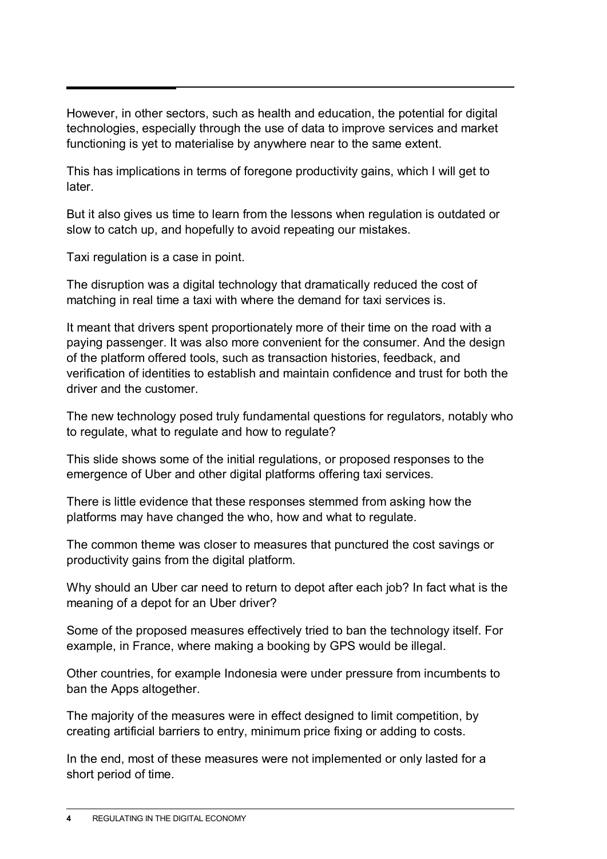However, in other sectors, such as health and education, the potential for digital technologies, especially through the use of data to improve services and market functioning is yet to materialise by anywhere near to the same extent.

This has implications in terms of foregone productivity gains, which I will get to later.

But it also gives us time to learn from the lessons when regulation is outdated or slow to catch up, and hopefully to avoid repeating our mistakes.

Taxi regulation is a case in point.

The disruption was a digital technology that dramatically reduced the cost of matching in real time a taxi with where the demand for taxi services is.

It meant that drivers spent proportionately more of their time on the road with a paying passenger. It was also more convenient for the consumer. And the design of the platform offered tools, such as transaction histories, feedback, and verification of identities to establish and maintain confidence and trust for both the driver and the customer.

The new technology posed truly fundamental questions for regulators, notably who to regulate, what to regulate and how to regulate?

This slide shows some of the initial regulations, or proposed responses to the emergence of Uber and other digital platforms offering taxi services.

There is little evidence that these responses stemmed from asking how the platforms may have changed the who, how and what to regulate.

The common theme was closer to measures that punctured the cost savings or productivity gains from the digital platform.

Why should an Uber car need to return to depot after each job? In fact what is the meaning of a depot for an Uber driver?

Some of the proposed measures effectively tried to ban the technology itself. For example, in France, where making a booking by GPS would be illegal.

Other countries, for example Indonesia were under pressure from incumbents to ban the Apps altogether.

The majority of the measures were in effect designed to limit competition, by creating artificial barriers to entry, minimum price fixing or adding to costs.

In the end, most of these measures were not implemented or only lasted for a short period of time.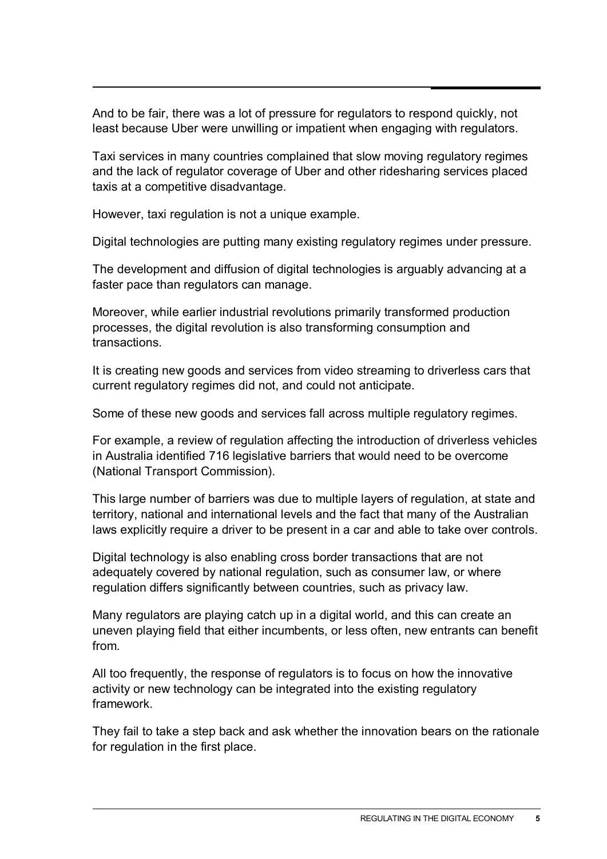And to be fair, there was a lot of pressure for regulators to respond quickly, not least because Uber were unwilling or impatient when engaging with regulators.

Taxi services in many countries complained that slow moving regulatory regimes and the lack of regulator coverage of Uber and other ridesharing services placed taxis at a competitive disadvantage.

However, taxi regulation is not a unique example.

Digital technologies are putting many existing regulatory regimes under pressure.

The development and diffusion of digital technologies is arguably advancing at a faster pace than regulators can manage.

Moreover, while earlier industrial revolutions primarily transformed production processes, the digital revolution is also transforming consumption and transactions.

It is creating new goods and services from video streaming to driverless cars that current regulatory regimes did not, and could not anticipate.

Some of these new goods and services fall across multiple regulatory regimes.

For example, a review of regulation affecting the introduction of driverless vehicles in Australia identified 716 legislative barriers that would need to be overcome (National Transport Commission).

This large number of barriers was due to multiple layers of regulation, at state and territory, national and international levels and the fact that many of the Australian laws explicitly require a driver to be present in a car and able to take over controls.

Digital technology is also enabling cross border transactions that are not adequately covered by national regulation, such as consumer law, or where regulation differs significantly between countries, such as privacy law.

Many regulators are playing catch up in a digital world, and this can create an uneven playing field that either incumbents, or less often, new entrants can benefit from.

All too frequently, the response of regulators is to focus on how the innovative activity or new technology can be integrated into the existing regulatory framework.

They fail to take a step back and ask whether the innovation bears on the rationale for regulation in the first place.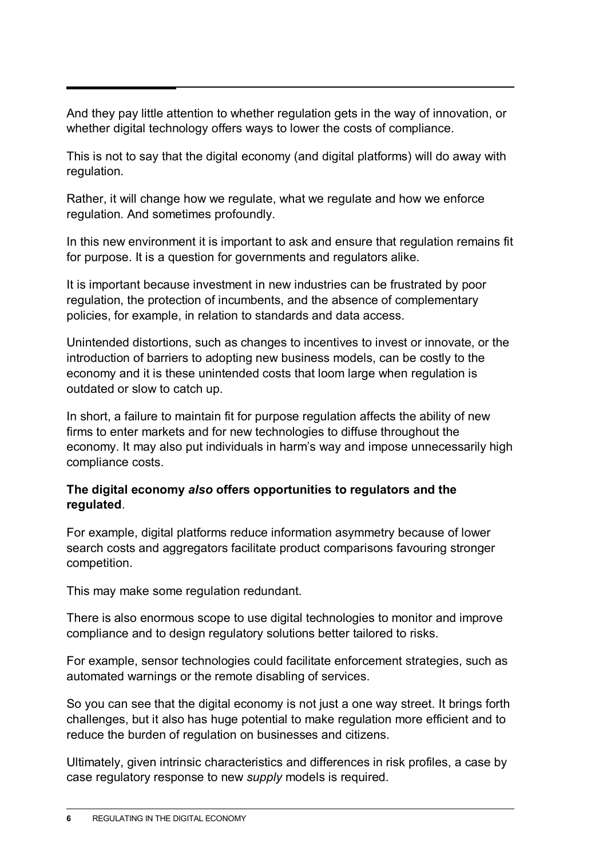And they pay little attention to whether regulation gets in the way of innovation, or whether digital technology offers ways to lower the costs of compliance.

This is not to say that the digital economy (and digital platforms) will do away with regulation.

Rather, it will change how we regulate, what we regulate and how we enforce regulation. And sometimes profoundly.

In this new environment it is important to ask and ensure that regulation remains fit for purpose. It is a question for governments and regulators alike.

It is important because investment in new industries can be frustrated by poor regulation, the protection of incumbents, and the absence of complementary policies, for example, in relation to standards and data access.

Unintended distortions, such as changes to incentives to invest or innovate, or the introduction of barriers to adopting new business models, can be costly to the economy and it is these unintended costs that loom large when regulation is outdated or slow to catch up.

In short, a failure to maintain fit for purpose regulation affects the ability of new firms to enter markets and for new technologies to diffuse throughout the economy. It may also put individuals in harm's way and impose unnecessarily high compliance costs.

## **The digital economy** *also* **offers opportunities to regulators and the regulated**.

For example, digital platforms reduce information asymmetry because of lower search costs and aggregators facilitate product comparisons favouring stronger competition.

This may make some regulation redundant.

There is also enormous scope to use digital technologies to monitor and improve compliance and to design regulatory solutions better tailored to risks.

For example, sensor technologies could facilitate enforcement strategies, such as automated warnings or the remote disabling of services.

So you can see that the digital economy is not just a one way street. It brings forth challenges, but it also has huge potential to make regulation more efficient and to reduce the burden of regulation on businesses and citizens.

Ultimately, given intrinsic characteristics and differences in risk profiles, a case by case regulatory response to new *supply* models is required.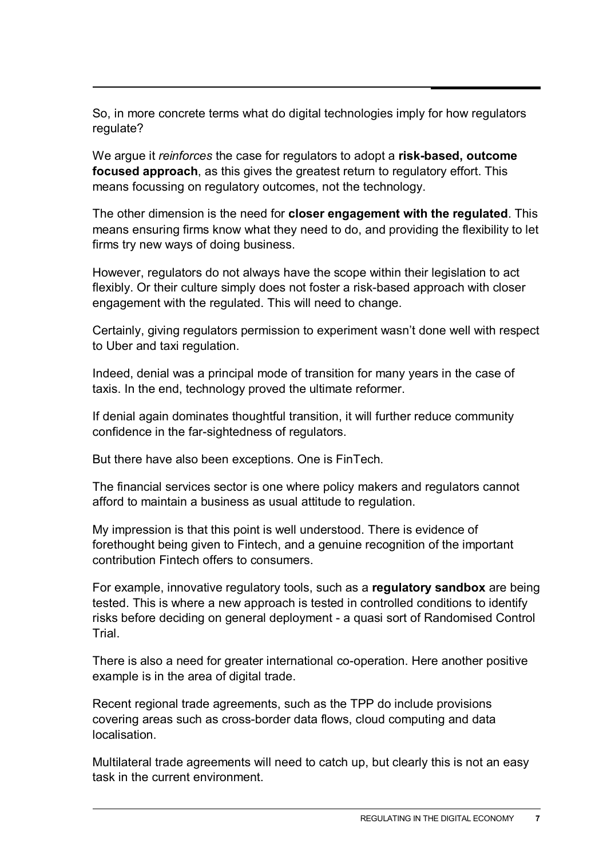So, in more concrete terms what do digital technologies imply for how regulators regulate?

We argue it *reinforces* the case for regulators to adopt a **risk-based, outcome focused approach**, as this gives the greatest return to regulatory effort. This means focussing on regulatory outcomes, not the technology.

The other dimension is the need for **closer engagement with the regulated**. This means ensuring firms know what they need to do, and providing the flexibility to let firms try new ways of doing business.

However, regulators do not always have the scope within their legislation to act flexibly. Or their culture simply does not foster a risk-based approach with closer engagement with the regulated. This will need to change.

Certainly, giving regulators permission to experiment wasn't done well with respect to Uber and taxi regulation.

Indeed, denial was a principal mode of transition for many years in the case of taxis. In the end, technology proved the ultimate reformer.

If denial again dominates thoughtful transition, it will further reduce community confidence in the far-sightedness of regulators.

But there have also been exceptions. One is FinTech.

The financial services sector is one where policy makers and regulators cannot afford to maintain a business as usual attitude to regulation.

My impression is that this point is well understood. There is evidence of forethought being given to Fintech, and a genuine recognition of the important contribution Fintech offers to consumers.

For example, innovative regulatory tools, such as a **regulatory sandbox** are being tested. This is where a new approach is tested in controlled conditions to identify risks before deciding on general deployment - a quasi sort of Randomised Control **Trial** 

There is also a need for greater international co-operation. Here another positive example is in the area of digital trade.

Recent regional trade agreements, such as the TPP do include provisions covering areas such as cross-border data flows, cloud computing and data **localisation** 

Multilateral trade agreements will need to catch up, but clearly this is not an easy task in the current environment.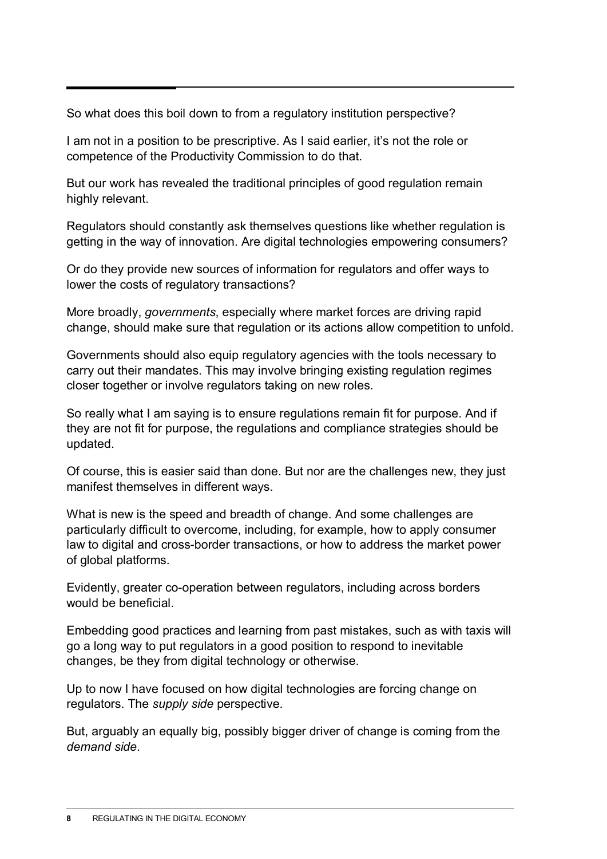So what does this boil down to from a regulatory institution perspective?

I am not in a position to be prescriptive. As I said earlier, it's not the role or competence of the Productivity Commission to do that.

But our work has revealed the traditional principles of good regulation remain highly relevant.

Regulators should constantly ask themselves questions like whether regulation is getting in the way of innovation. Are digital technologies empowering consumers?

Or do they provide new sources of information for regulators and offer ways to lower the costs of regulatory transactions?

More broadly, *governments*, especially where market forces are driving rapid change, should make sure that regulation or its actions allow competition to unfold.

Governments should also equip regulatory agencies with the tools necessary to carry out their mandates. This may involve bringing existing regulation regimes closer together or involve regulators taking on new roles.

So really what I am saying is to ensure regulations remain fit for purpose. And if they are not fit for purpose, the regulations and compliance strategies should be updated.

Of course, this is easier said than done. But nor are the challenges new, they just manifest themselves in different ways.

What is new is the speed and breadth of change. And some challenges are particularly difficult to overcome, including, for example, how to apply consumer law to digital and cross-border transactions, or how to address the market power of global platforms.

Evidently, greater co-operation between regulators, including across borders would be beneficial.

Embedding good practices and learning from past mistakes, such as with taxis will go a long way to put regulators in a good position to respond to inevitable changes, be they from digital technology or otherwise.

Up to now I have focused on how digital technologies are forcing change on regulators. The *supply side* perspective.

But, arguably an equally big, possibly bigger driver of change is coming from the *demand side*.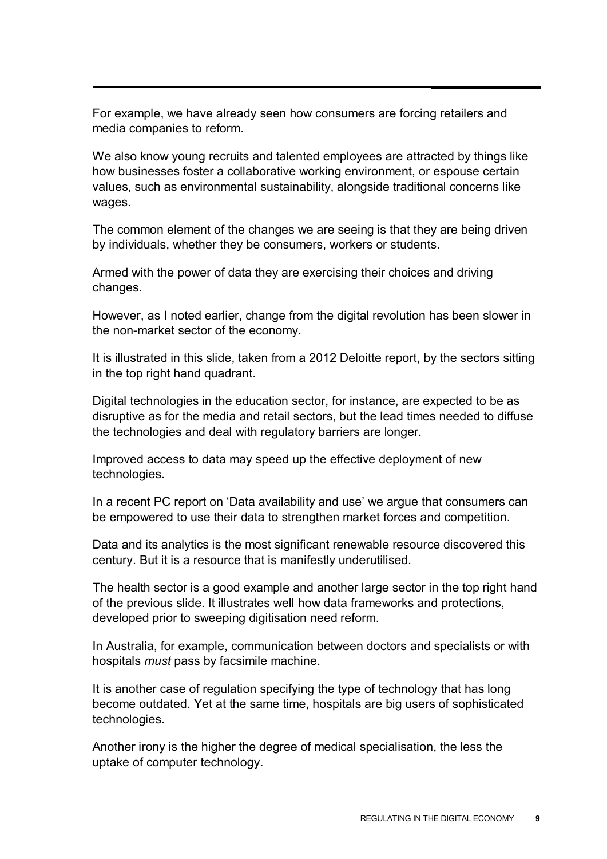For example, we have already seen how consumers are forcing retailers and media companies to reform.

We also know young recruits and talented employees are attracted by things like how businesses foster a collaborative working environment, or espouse certain values, such as environmental sustainability, alongside traditional concerns like wages.

The common element of the changes we are seeing is that they are being driven by individuals, whether they be consumers, workers or students.

Armed with the power of data they are exercising their choices and driving changes.

However, as I noted earlier, change from the digital revolution has been slower in the non-market sector of the economy.

It is illustrated in this slide, taken from a 2012 Deloitte report, by the sectors sitting in the top right hand quadrant.

Digital technologies in the education sector, for instance, are expected to be as disruptive as for the media and retail sectors, but the lead times needed to diffuse the technologies and deal with regulatory barriers are longer.

Improved access to data may speed up the effective deployment of new technologies.

In a recent PC report on 'Data availability and use' we argue that consumers can be empowered to use their data to strengthen market forces and competition.

Data and its analytics is the most significant renewable resource discovered this century. But it is a resource that is manifestly underutilised.

The health sector is a good example and another large sector in the top right hand of the previous slide. It illustrates well how data frameworks and protections, developed prior to sweeping digitisation need reform.

In Australia, for example, communication between doctors and specialists or with hospitals *must* pass by facsimile machine.

It is another case of regulation specifying the type of technology that has long become outdated. Yet at the same time, hospitals are big users of sophisticated technologies.

Another irony is the higher the degree of medical specialisation, the less the uptake of computer technology.